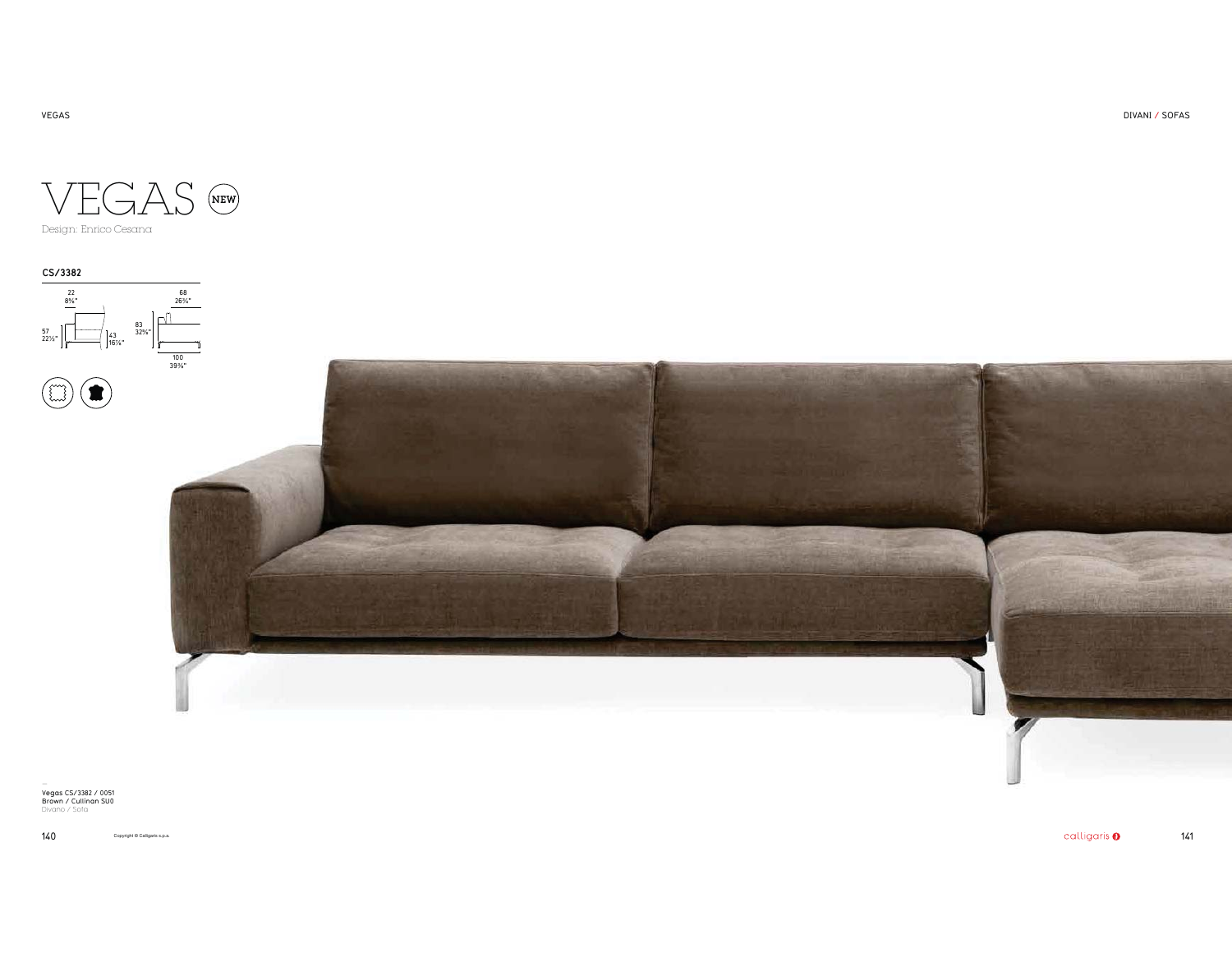DIVANI / SOFAS



Design: Enrico Cesana

**CS/3382** 22<br>8%" 68<br>"26%  $\Box$ 83<br>32%"  $22\frac{1}{2}\sqrt{22\frac{1}{2}}$   $43\frac{32\frac{5}{6}}{16\frac{7}{6}}$ 100<br>39%"



— Vegas CS/3382 / 0051 Brown / Cullinan SU0 Divano / Sofa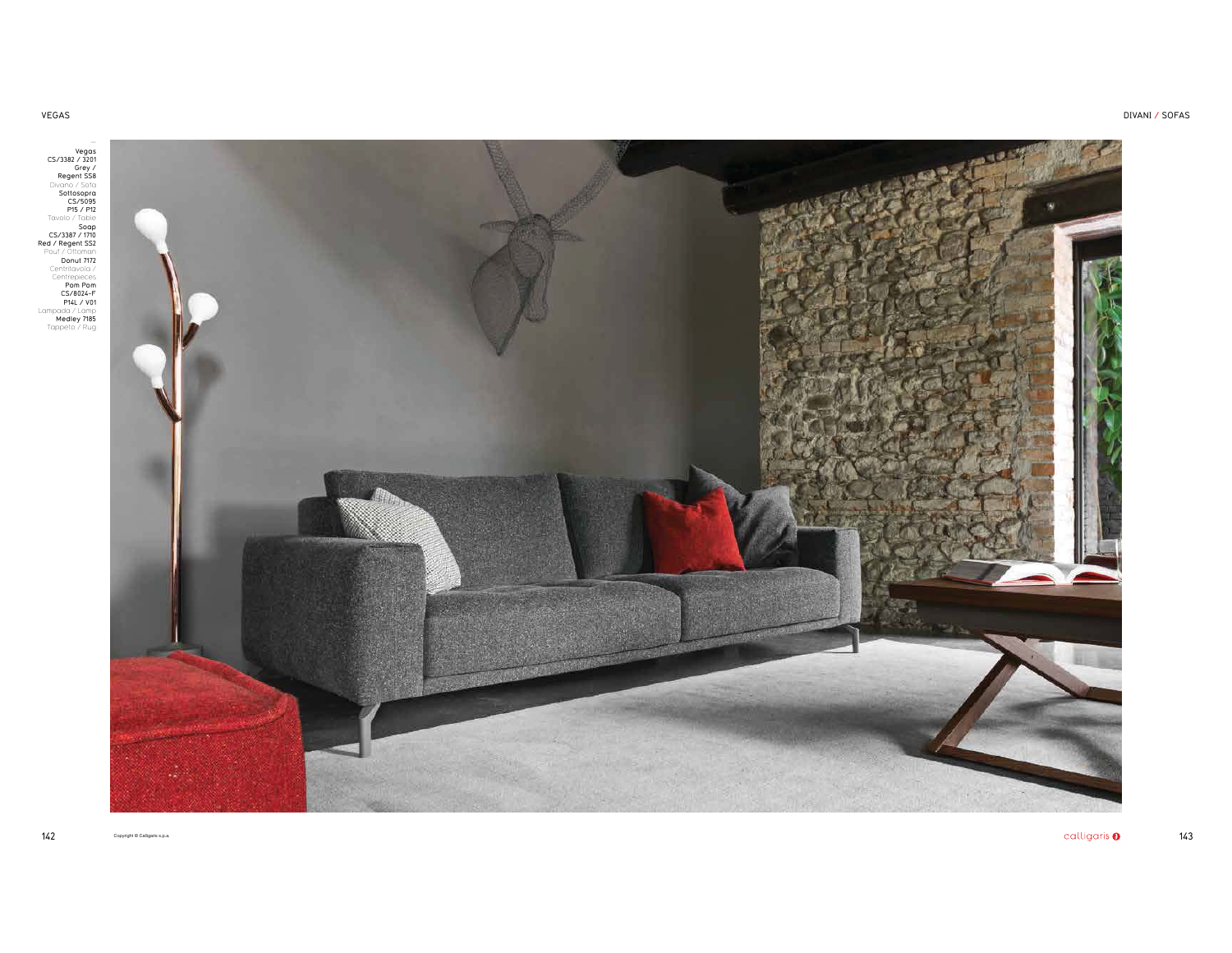Vegas<br>
CS/338/ 7320<br>
Regent SS8<br>
Regent SS8<br>
Pivano / Sofa<br>
Divano / Sofa<br>
Statespra<br>
CS/308<br>
Top/ / The Social Social Contability<br>
Red / Regent SS2<br>
Poul / Ultaman Pin<br>
Centrapides<br>
Poul / The Pinal / Via<br>
Poul Pinal / Vi

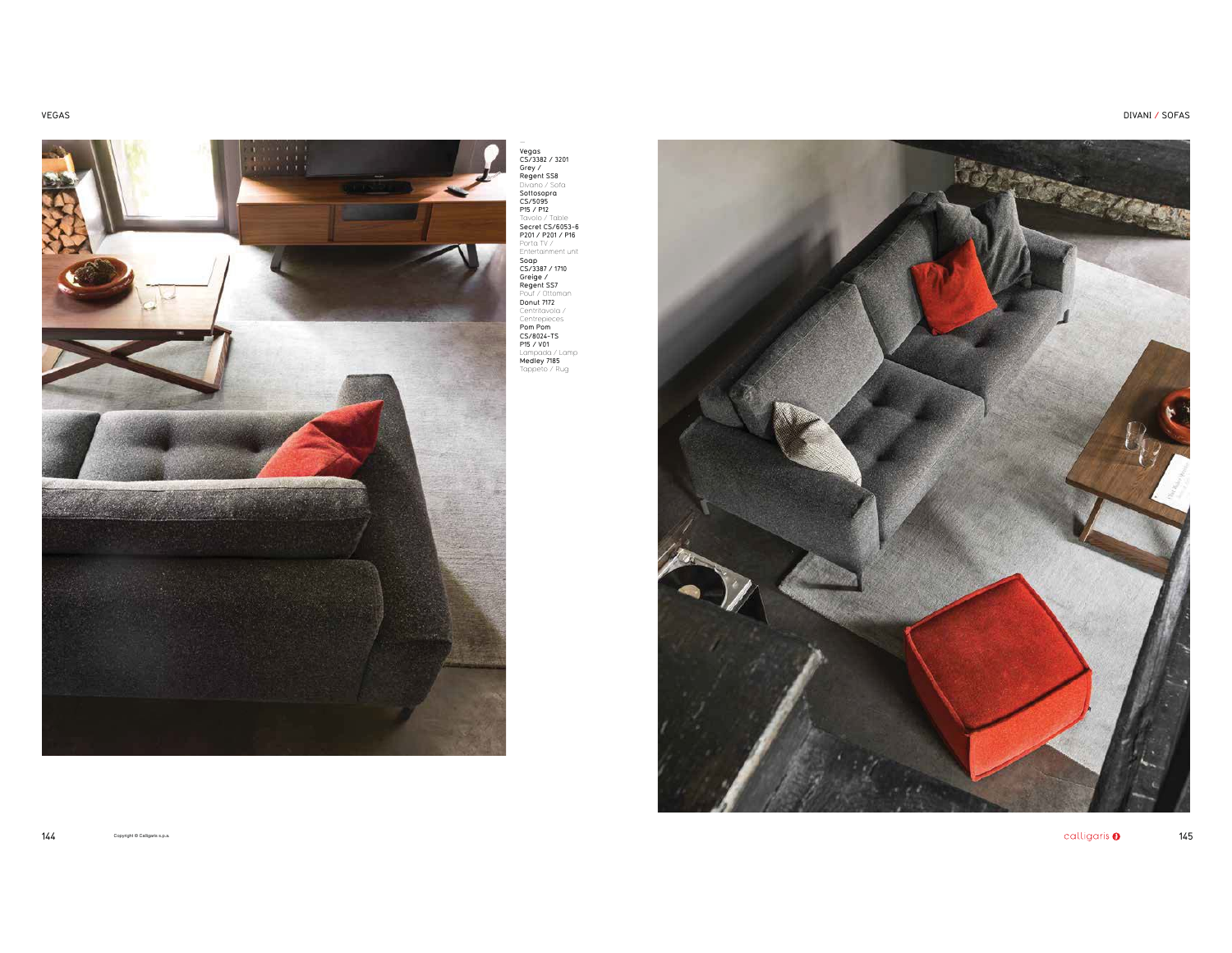

Vegas<br>CS/3382 / 3201<br>Grey /<br>Grey Sampano / Sofa<br>Divano / Sofa<br>CS/5095<br>Pical CS/6053-6<br>Berelt CS/6053-6<br>Secret CS/6053-6<br>Pereltainment unit<br>Soap<br>Regent SS7<br>Regent SS7<br>Regent SS7<br>Pouf / Ottoman<br>Pouf / Ottoman **Donut 7172**<br>Centritavola / Centrepieces<br>**Pom Pom<br>CS/8024-TS<br>Lampada / Lamp<br>Lampada / Lamp<br>Medley 7185<br>Tappeto / Rug** 

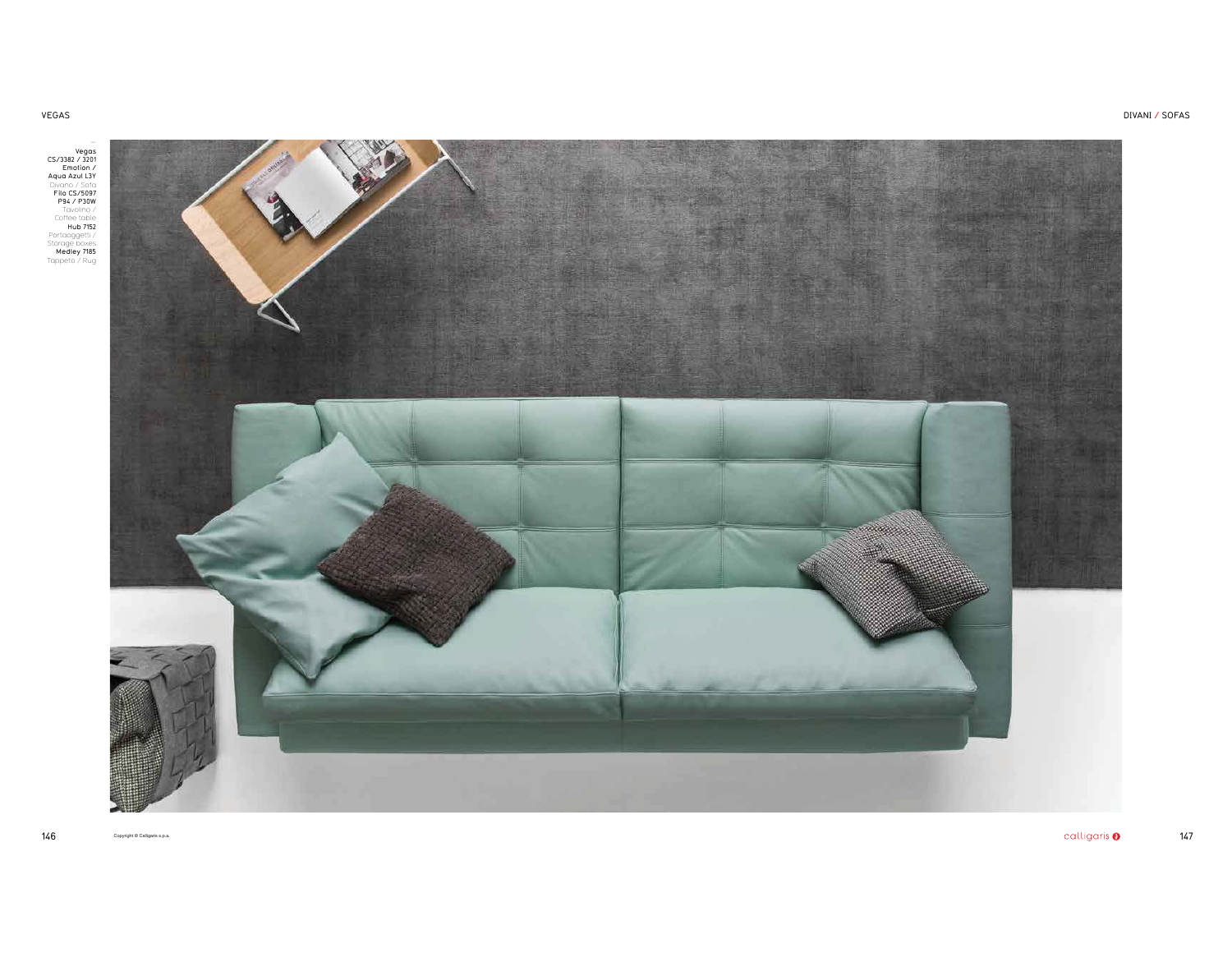VEGAS

— Vegas CS/3382 / 3201 Emotion / Aqua Azul L3Y Divano / Sofa<br> **P94 / P3097**<br>
P94 / P30W<br>
Tavolino /<br>
Coffee table<br>
Hub 7152<br>
Portaoggetti /<br>
Storage boxes<br>
Medley 7185<br>
Tappeto / Rug



DIVANI / SOFAS